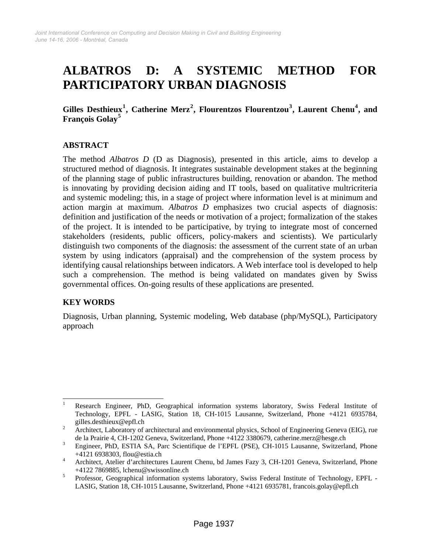# **ALBATROS D: A SYSTEMIC METHOD FOR PARTICIPATORY URBAN DIAGNOSIS**

**Gilles Desthieux[1](#page-0-0) , Catherine Merz[2](#page-0-1) , Flourentzos Flourentzou[3](#page-0-2) , Laurent Chenu[4](#page-0-3) , and François Golay[5](#page-0-4)**

# **ABSTRACT**

The method *Albatros D* (D as Diagnosis), presented in this article, aims to develop a structured method of diagnosis. It integrates sustainable development stakes at the beginning of the planning stage of public infrastructures building, renovation or abandon. The method is innovating by providing decision aiding and IT tools, based on qualitative multricriteria and systemic modeling; this, in a stage of project where information level is at minimum and action margin at maximum. *Albatros D* emphasizes two crucial aspects of diagnosis: definition and justification of the needs or motivation of a project; formalization of the stakes of the project. It is intended to be participative, by trying to integrate most of concerned stakeholders (residents, public officers, policy-makers and scientists). We particularly distinguish two components of the diagnosis: the assessment of the current state of an urban system by using indicators (appraisal) and the comprehension of the system process by identifying causal relationships between indicators. A Web interface tool is developed to help such a comprehension. The method is being validated on mandates given by Swiss governmental offices. On-going results of these applications are presented.

## **KEY WORDS**

Diagnosis, Urban planning, Systemic modeling, Web database (php/MySQL), Participatory approach

<span id="page-0-0"></span> $\frac{1}{1}$  Research Engineer, PhD, Geographical information systems laboratory, Swiss Federal Institute of Technology, EPFL - LASIG, Station 18, CH-1015 Lausanne, Switzerland, Phone +4121 6935784, gilles.desthieux@epfl.ch

<span id="page-0-1"></span>Architect, Laboratory of architectural and environmental physics, School of Engineering Geneva (EIG), rue de la Prairie 4, CH-1202 Geneva, Switzerland, Phone +4122 3380679, catherine.merz@hesge.ch 3<br>Broineer, PbD, ESTLA, SA, Pers, Scientifique de l'EPEL (PSE), CH 1015 Leucanne, Switzerla

<span id="page-0-2"></span>Engineer, PhD, ESTIA SA, Parc Scientifique de l'EPFL (PSE), CH-1015 Lausanne, Switzerland, Phone  $+4121\,6938303$ , flou@estia.ch

<span id="page-0-3"></span>Architect, Atelier d'architectures Laurent Chenu, bd James Fazy 3, CH-1201 Geneva, Switzerland, Phone +4122 7869885, lchenu@swissonline.ch<br>
<u>5</u> Professor, Geographical information sys-

<span id="page-0-4"></span>Professor, Geographical information systems laboratory, Swiss Federal Institute of Technology, EPFL - LASIG, Station 18, CH-1015 Lausanne, Switzerland, Phone +4121 6935781, francois.golay@epfl.ch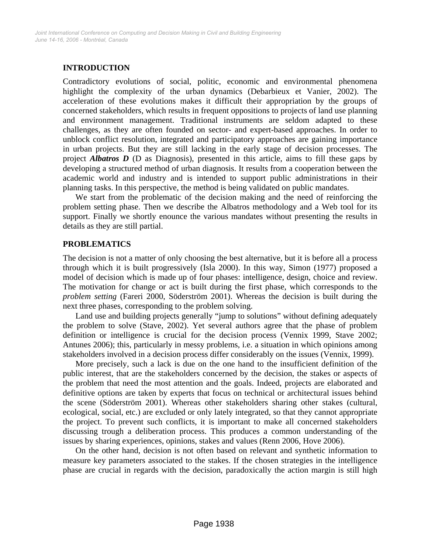# **INTRODUCTION**

Contradictory evolutions of social, politic, economic and environmental phenomena highlight the complexity of the urban dynamics (Debarbieux et Vanier, 2002). The acceleration of these evolutions makes it difficult their appropriation by the groups of concerned stakeholders, which results in frequent oppositions to projects of land use planning and environment management. Traditional instruments are seldom adapted to these challenges, as they are often founded on sector- and expert-based approaches. In order to unblock conflict resolution, integrated and participatory approaches are gaining importance in urban projects. But they are still lacking in the early stage of decision processes. The project *Albatros D* (D as Diagnosis), presented in this article, aims to fill these gaps by developing a structured method of urban diagnosis. It results from a cooperation between the academic world and industry and is intended to support public administrations in their planning tasks. In this perspective, the method is being validated on public mandates.

We start from the problematic of the decision making and the need of reinforcing the problem setting phase. Then we describe the Albatros methodology and a Web tool for its support. Finally we shortly enounce the various mandates without presenting the results in details as they are still partial.

## **PROBLEMATICS**

The decision is not a matter of only choosing the best alternative, but it is before all a process through which it is built progressively (Isla 2000). In this way, Simon (1977) proposed a model of decision which is made up of four phases: intelligence, design, choice and review. The motivation for change or act is built during the first phase, which corresponds to the *problem setting* (Fareri 2000, Söderström 2001). Whereas the decision is built during the next three phases, corresponding to the problem solving.

Land use and building projects generally "jump to solutions" without defining adequately the problem to solve (Stave, 2002). Yet several authors agree that the phase of problem definition or intelligence is crucial for the decision process (Vennix 1999, Stave 2002; Antunes 2006); this, particularly in messy problems, i.e. a situation in which opinions among stakeholders involved in a decision process differ considerably on the issues (Vennix, 1999).

More precisely, such a lack is due on the one hand to the insufficient definition of the public interest, that are the stakeholders concerned by the decision, the stakes or aspects of the problem that need the most attention and the goals. Indeed, projects are elaborated and definitive options are taken by experts that focus on technical or architectural issues behind the scene (Söderström 2001). Whereas other stakeholders sharing other stakes (cultural, ecological, social, etc.) are excluded or only lately integrated, so that they cannot appropriate the project. To prevent such conflicts, it is important to make all concerned stakeholders discussing trough a deliberation process. This produces a common understanding of the issues by sharing experiences, opinions, stakes and values (Renn 2006, Hove 2006).

On the other hand, decision is not often based on relevant and synthetic information to measure key parameters associated to the stakes. If the chosen strategies in the intelligence phase are crucial in regards with the decision, paradoxically the action margin is still high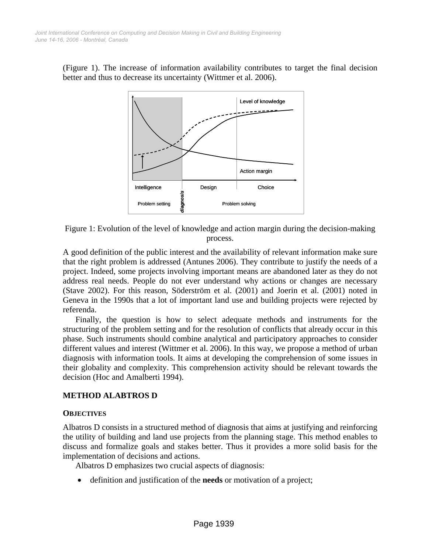(Figure 1). The increase of information availability contributes to target the final decision better and thus to decrease its uncertainty (Wittmer et al. 2006).



Figure 1: Evolution of the level of knowledge and action margin during the decision-making process.

A good definition of the public interest and the availability of relevant information make sure that the right problem is addressed (Antunes 2006). They contribute to justify the needs of a project. Indeed, some projects involving important means are abandoned later as they do not address real needs. People do not ever understand why actions or changes are necessary (Stave 2002). For this reason, Söderström et al. (2001) and Joerin et al. (2001) noted in Geneva in the 1990s that a lot of important land use and building projects were rejected by referenda.

Finally, the question is how to select adequate methods and instruments for the structuring of the problem setting and for the resolution of conflicts that already occur in this phase. Such instruments should combine analytical and participatory approaches to consider different values and interest (Wittmer et al. 2006). In this way, we propose a method of urban diagnosis with information tools. It aims at developing the comprehension of some issues in their globality and complexity. This comprehension activity should be relevant towards the decision (Hoc and Amalberti 1994).

## **METHOD ALABTROS D**

#### **OBJECTIVES**

Albatros D consists in a structured method of diagnosis that aims at justifying and reinforcing the utility of building and land use projects from the planning stage. This method enables to discuss and formalize goals and stakes better. Thus it provides a more solid basis for the implementation of decisions and actions.

Albatros D emphasizes two crucial aspects of diagnosis:

• definition and justification of the **needs** or motivation of a project;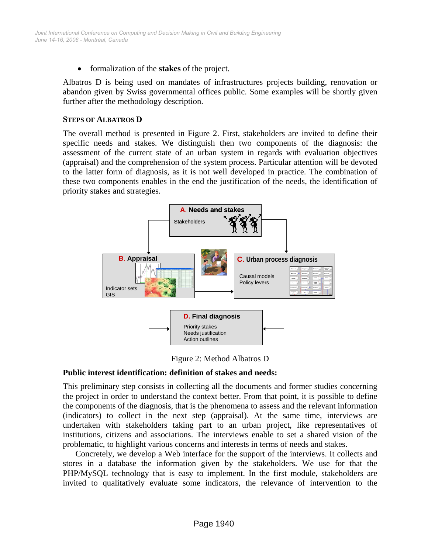• formalization of the **stakes** of the project.

Albatros D is being used on mandates of infrastructures projects building, renovation or abandon given by Swiss governmental offices public. Some examples will be shortly given further after the methodology description.

#### **STEPS OF ALBATROS D**

The overall method is presented in Figure 2. First, stakeholders are invited to define their specific needs and stakes. We distinguish then two components of the diagnosis: the assessment of the current state of an urban system in regards with evaluation objectives (appraisal) and the comprehension of the system process. Particular attention will be devoted to the latter form of diagnosis, as it is not well developed in practice. The combination of these two components enables in the end the justification of the needs, the identification of priority stakes and strategies.



Figure 2: Method Albatros D

#### **Public interest identification: definition of stakes and needs:**

This preliminary step consists in collecting all the documents and former studies concerning the project in order to understand the context better. From that point, it is possible to define the components of the diagnosis, that is the phenomena to assess and the relevant information (indicators) to collect in the next step (appraisal). At the same time, interviews are undertaken with stakeholders taking part to an urban project, like representatives of institutions, citizens and associations. The interviews enable to set a shared vision of the problematic, to highlight various concerns and interests in terms of needs and stakes.

Concretely, we develop a Web interface for the support of the interviews. It collects and stores in a database the information given by the stakeholders. We use for that the PHP/MySQL technology that is easy to implement. In the first module, stakeholders are invited to qualitatively evaluate some indicators, the relevance of intervention to the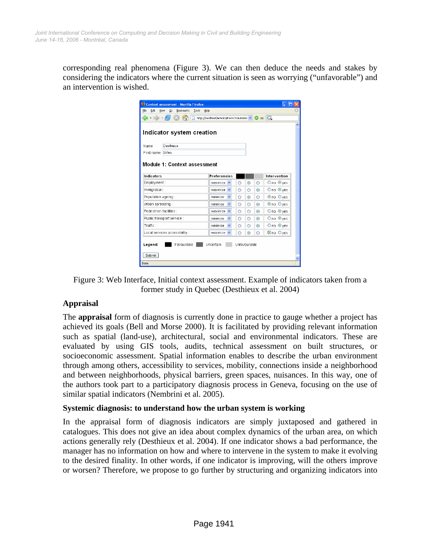corresponding real phenomena (Figure 3). We can then deduce the needs and stakes by considering the indicators where the current situation is seen as worrying ("unfavorable") and an intervention is wished.

| Context assessment - Mozilla Firefox                                                                                |                                     |                          |   |                |                |                          |  |  |  |
|---------------------------------------------------------------------------------------------------------------------|-------------------------------------|--------------------------|---|----------------|----------------|--------------------------|--|--|--|
| Edit<br>Bookmarks<br>File<br>View<br>Tools<br>Go<br>Help                                                            |                                     |                          |   |                |                |                          |  |  |  |
| $\blacksquare \cdot \blacksquare \cdot \lhd \cdot \lhd \cdot$<br>http://localhost/Article3/FormChoixIndica v G G GL |                                     |                          |   |                |                |                          |  |  |  |
|                                                                                                                     |                                     |                          |   |                |                |                          |  |  |  |
|                                                                                                                     | Indicator system creation           |                          |   |                |                |                          |  |  |  |
|                                                                                                                     |                                     |                          |   |                |                |                          |  |  |  |
| Name:                                                                                                               | Desthieux                           |                          |   |                |                |                          |  |  |  |
| First name: Gilles                                                                                                  |                                     |                          |   |                |                |                          |  |  |  |
|                                                                                                                     |                                     |                          |   |                |                |                          |  |  |  |
|                                                                                                                     | <b>Module 1: Context assessment</b> |                          |   |                |                |                          |  |  |  |
| Indicators                                                                                                          |                                     | <b>Preferencies</b>      |   |                |                | Intervention             |  |  |  |
| Employment:                                                                                                         |                                     | $maximize$ $\sim$        | ∩ | $\circledcirc$ | ∩              | $Ono$ $Qves$             |  |  |  |
| Immigration:                                                                                                        |                                     | $maximize$ $\sim$        | ∩ | ∩              | $\odot$        | Ono ⊙ves                 |  |  |  |
|                                                                                                                     |                                     |                          |   |                |                |                          |  |  |  |
| Population ageing:                                                                                                  |                                     | minimize<br>×            | ∩ | $\odot$        | Ō              | $\odot$ no $\odot$ yes   |  |  |  |
| Urban spreading:                                                                                                    |                                     | minimize<br>$\checkmark$ | ∩ | $\circ$        | $\odot$        | Ono Oyes                 |  |  |  |
|                                                                                                                     | Pedestrian facilities :             |                          | ∩ | Ο              | $\odot$        | Ono ⊙ves                 |  |  |  |
|                                                                                                                     | Public transport service :          | ×<br>minimize            | O | Ō              | $\circledcirc$ | $Ono$ $Q$ <sub>Ves</sub> |  |  |  |
| Traffic :                                                                                                           |                                     | $\checkmark$<br>minimize | ∩ | $\bigcirc$     | $\odot$        | $Ono$ $Q$ <sub>Ves</sub> |  |  |  |
|                                                                                                                     | Local services accessibility:       |                          | ∩ | $\odot$        |                | Cino Oves                |  |  |  |
|                                                                                                                     |                                     |                          |   |                |                |                          |  |  |  |
| Legend:<br>Favourable<br>Uncertain<br>Unfavourable                                                                  |                                     |                          |   |                |                |                          |  |  |  |
| Submit                                                                                                              |                                     |                          |   |                |                |                          |  |  |  |
| Done                                                                                                                |                                     |                          |   |                |                |                          |  |  |  |
|                                                                                                                     |                                     |                          |   |                |                |                          |  |  |  |

Figure 3: Web Interface, Initial context assessment. Example of indicators taken from a former study in Quebec (Desthieux et al. 2004)

## **Appraisal**

The **appraisal** form of diagnosis is currently done in practice to gauge whether a project has achieved its goals (Bell and Morse 2000). It is facilitated by providing relevant information such as spatial (land-use), architectural, social and environmental indicators. These are evaluated by using GIS tools, audits, technical assessment on built structures, or socioeconomic assessment. Spatial information enables to describe the urban environment through among others, accessibility to services, mobility, connections inside a neighborhood and between neighborhoods, physical barriers, green spaces, nuisances. In this way, one of the authors took part to a participatory diagnosis process in Geneva, focusing on the use of similar spatial indicators (Nembrini et al. 2005).

## **Systemic diagnosis: to understand how the urban system is working**

In the appraisal form of diagnosis indicators are simply juxtaposed and gathered in catalogues. This does not give an idea about complex dynamics of the urban area, on which actions generally rely (Desthieux et al. 2004). If one indicator shows a bad performance, the manager has no information on how and where to intervene in the system to make it evolving to the desired finality. In other words, if one indicator is improving, will the others improve or worsen? Therefore, we propose to go further by structuring and organizing indicators into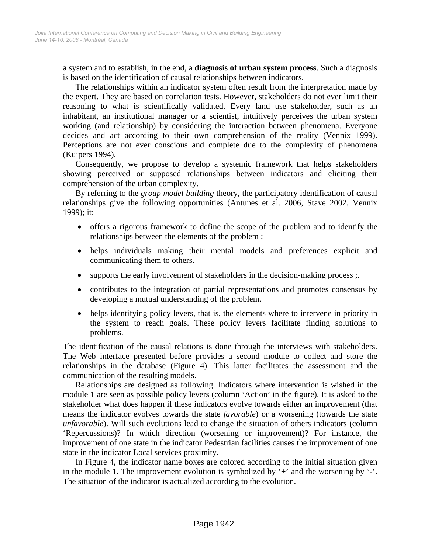a system and to establish, in the end, a **diagnosis of urban system process**. Such a diagnosis is based on the identification of causal relationships between indicators.

The relationships within an indicator system often result from the interpretation made by the expert. They are based on correlation tests. However, stakeholders do not ever limit their reasoning to what is scientifically validated. Every land use stakeholder, such as an inhabitant, an institutional manager or a scientist, intuitively perceives the urban system working (and relationship) by considering the interaction between phenomena. Everyone decides and act according to their own comprehension of the reality (Vennix 1999). Perceptions are not ever conscious and complete due to the complexity of phenomena (Kuipers 1994).

Consequently, we propose to develop a systemic framework that helps stakeholders showing perceived or supposed relationships between indicators and eliciting their comprehension of the urban complexity.

By referring to the *group model building* theory, the participatory identification of causal relationships give the following opportunities (Antunes et al. 2006, Stave 2002, Vennix 1999); it:

- offers a rigorous framework to define the scope of the problem and to identify the relationships between the elements of the problem ;
- helps individuals making their mental models and preferences explicit and communicating them to others.
- supports the early involvement of stakeholders in the decision-making process;
- contributes to the integration of partial representations and promotes consensus by developing a mutual understanding of the problem.
- helps identifying policy levers, that is, the elements where to intervene in priority in the system to reach goals. These policy levers facilitate finding solutions to problems.

The identification of the causal relations is done through the interviews with stakeholders. The Web interface presented before provides a second module to collect and store the relationships in the database (Figure 4). This latter facilitates the assessment and the communication of the resulting models.

Relationships are designed as following. Indicators where intervention is wished in the module 1 are seen as possible policy levers (column 'Action' in the figure). It is asked to the stakeholder what does happen if these indicators evolve towards either an improvement (that means the indicator evolves towards the state *favorable*) or a worsening (towards the state *unfavorable*). Will such evolutions lead to change the situation of others indicators (column 'Repercussions)? In which direction (worsening or improvement)? For instance, the improvement of one state in the indicator Pedestrian facilities causes the improvement of one state in the indicator Local services proximity.

In Figure 4, the indicator name boxes are colored according to the initial situation given in the module 1. The improvement evolution is symbolized by '+' and the worsening by '-'. The situation of the indicator is actualized according to the evolution.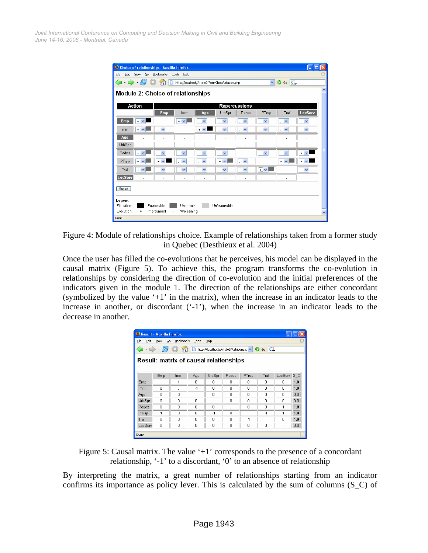*June 14-16, 2006 - Montréal, Canada Joint International Conference on Computing and Decision Making in Civil and Building Engineering*

|              |            | Choice of relationships - Mozilla Firefox |                                          |                    |                                                 |                         |                    |                         | n<br>н                     |             |
|--------------|------------|-------------------------------------------|------------------------------------------|--------------------|-------------------------------------------------|-------------------------|--------------------|-------------------------|----------------------------|-------------|
| File<br>Edit | View       | Bookmarks<br>Go                           | Tools<br>Help                            |                    |                                                 |                         |                    |                         |                            |             |
|              |            |                                           |                                          |                    | http://localhost/Article3/FormChoixRelation.php |                         | $\checkmark$       | $\circ$ Go $\Box$       |                            |             |
|              |            |                                           | <b>Module 2: Choice of relationships</b> |                    |                                                 |                         |                    |                         |                            | ㅅ           |
|              | Action     |                                           |                                          |                    |                                                 | Repercussions           |                    |                         |                            |             |
|              |            | Emp                                       | Imm                                      | Age                | UrbSpr                                          | Pedes                   | PTrsp              | Traf                    | LocServ                    |             |
| Emp          | $+$ $\vee$ |                                           | $+$ $\vee$                               | v                  | $\checkmark$                                    | $\checkmark$<br>v.      | $\checkmark$<br>ł. | $\checkmark$            | $\checkmark$<br>×.         |             |
| Imm          | $+$ $-$    | $\checkmark$                              |                                          | $+ 1$              | $\checkmark$                                    | $\checkmark$<br>×.      | $\checkmark$<br>à. | $\checkmark$            | $\checkmark$<br>×          |             |
| Age          |            | ×.                                        | ×                                        |                    | ٠                                               | Ŷ.                      | Ŷ.                 | ×.                      | ×.                         |             |
| UrbSpr       |            |                                           |                                          |                    |                                                 | ł,                      |                    |                         | à.                         |             |
| Pedes        | $+$ $\vee$ | $\checkmark$                              | $\overline{\mathbf{v}}$                  | $\checkmark$       | $\checkmark$                                    |                         | $\checkmark$<br>×. | $\overline{\mathbf{v}}$ | $+$ $\vee$                 |             |
| PTrsp        | $+$ $\vee$ | $\checkmark$<br>$\ddot{+}$                | $\overline{\mathbf{v}}$                  | $\checkmark$       | $+ 4$                                           | $\overline{\mathbf{v}}$ |                    | $+$ $\vee$              | $+$ $\vee$                 |             |
| Traf         | $+$ $\vee$ | $\checkmark$                              | $\checkmark$                             | $\checkmark$<br>Ŷ. | $\checkmark$                                    | $\checkmark$            | $\boxed{+}$        |                         | $\checkmark$<br>$\epsilon$ |             |
| LocServ      |            |                                           | ×.                                       | ×                  | ×.                                              | ł.                      |                    | ÷.                      |                            |             |
| Submit       |            |                                           |                                          |                    |                                                 |                         |                    |                         |                            |             |
| Legend       |            |                                           |                                          |                    |                                                 |                         |                    |                         |                            |             |
| Situation:   |            | Favourable                                | Uncertain                                |                    | Unfavourable                                    |                         |                    |                         |                            |             |
| Evolution:   | $+$        | Improvment                                | Worsening                                |                    |                                                 |                         |                    |                         |                            | $\ddotmark$ |
| Done         |            |                                           |                                          |                    |                                                 |                         |                    |                         |                            |             |

Figure 4: Module of relationships choice. Example of relationships taken from a former study in Quebec (Desthieux et al. 2004)

Once the user has filled the co-evolutions that he perceives, his model can be displayed in the causal matrix (Figure 5). To achieve this, the program transforms the co-evolution in relationships by considering the direction of co-evolution and the initial preferences of the indicators given in the module 1. The direction of the relationships are either concordant (symbolized by the value '+1' in the matrix), when the increase in an indicator leads to the increase in another, or discordant ('-1'), when the increase in an indicator leads to the decrease in another.

| Result - Mozilla Firefox                                                                  |     |            |      |                          |       |       |           |         |     |  |
|-------------------------------------------------------------------------------------------|-----|------------|------|--------------------------|-------|-------|-----------|---------|-----|--|
| ÷<br>Edit<br>File<br>Bookmarks<br>Tools<br>Help<br>View<br>Go                             |     |            |      |                          |       |       |           |         |     |  |
| $\mathcal{C}_1$<br>$G_0$ $G$<br>http://localhost/Article3/Relations.p V<br>$\circledcirc$ |     |            |      |                          |       |       |           |         |     |  |
| <b>Result: matrix of causal relationships</b>                                             |     |            |      |                          |       |       |           |         |     |  |
|                                                                                           | Emp | <b>Imm</b> | Age  | UrbSpr                   | Pedes | PTrsp | Traf      | LocServ | s c |  |
| Emp                                                                                       |     | 1          | 0    | 0                        | n     | 0     | n         | 0       | 1.0 |  |
| Imm                                                                                       | n   |            | $-1$ | n                        | n     | n     | n         | n       | 1.0 |  |
| Age                                                                                       | Ω   | $\Omega$   |      | 0                        | n     | n     | n         | D       | 0.0 |  |
| UrbSpr                                                                                    | 0   | O          | 0    | $\overline{\phantom{a}}$ | Ω     | 0     | 0         | 0       | 0.0 |  |
| Pedes                                                                                     | n   | $\Omega$   | n    | 0                        |       | n     | n         | 1       | 1.0 |  |
| PTrsp                                                                                     | 1   | n          | n    | $\cdot$ 1                | n     |       | $\cdot$ 1 | 1       | 4.0 |  |
| Traf                                                                                      | O   | $\Omega$   | Ω    | n                        | O     | $-1$  |           | O       | 1.0 |  |
| LocServ                                                                                   | 0   | 0          | 0    | 0                        | 0     | 0     | 0         |         | 0.0 |  |
| Done                                                                                      |     |            |      |                          |       |       |           |         |     |  |

Figure 5: Causal matrix. The value '+1' corresponds to the presence of a concordant relationship, '-1' to a discordant, '0' to an absence of relationship

By interpreting the matrix, a great number of relationships starting from an indicator confirms its importance as policy lever. This is calculated by the sum of columns (S\_C) of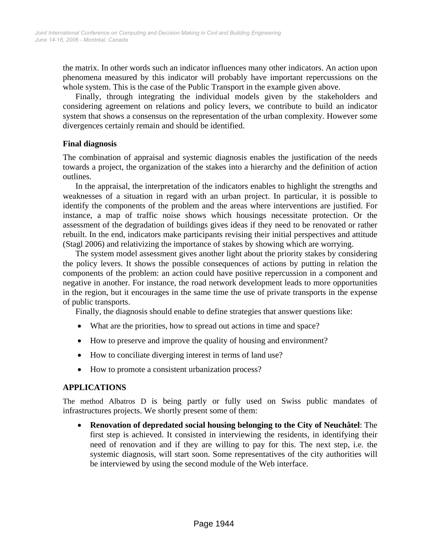the matrix. In other words such an indicator influences many other indicators. An action upon phenomena measured by this indicator will probably have important repercussions on the whole system. This is the case of the Public Transport in the example given above.

Finally, through integrating the individual models given by the stakeholders and considering agreement on relations and policy levers, we contribute to build an indicator system that shows a consensus on the representation of the urban complexity. However some divergences certainly remain and should be identified.

## **Final diagnosis**

The combination of appraisal and systemic diagnosis enables the justification of the needs towards a project, the organization of the stakes into a hierarchy and the definition of action outlines.

In the appraisal, the interpretation of the indicators enables to highlight the strengths and weaknesses of a situation in regard with an urban project. In particular, it is possible to identify the components of the problem and the areas where interventions are justified. For instance, a map of traffic noise shows which housings necessitate protection. Or the assessment of the degradation of buildings gives ideas if they need to be renovated or rather rebuilt. In the end, indicators make participants revising their initial perspectives and attitude (Stagl 2006) and relativizing the importance of stakes by showing which are worrying.

The system model assessment gives another light about the priority stakes by considering the policy levers. It shows the possible consequences of actions by putting in relation the components of the problem: an action could have positive repercussion in a component and negative in another. For instance, the road network development leads to more opportunities in the region, but it encourages in the same time the use of private transports in the expense of public transports.

Finally, the diagnosis should enable to define strategies that answer questions like:

- What are the priorities, how to spread out actions in time and space?
- How to preserve and improve the quality of housing and environment?
- How to conciliate diverging interest in terms of land use?
- How to promote a consistent urbanization process?

## **APPLICATIONS**

The method Albatros D is being partly or fully used on Swiss public mandates of infrastructures projects. We shortly present some of them:

• **Renovation of depredated social housing belonging to the City of Neuchâtel**: The first step is achieved. It consisted in interviewing the residents, in identifying their need of renovation and if they are willing to pay for this. The next step, i.e. the systemic diagnosis, will start soon. Some representatives of the city authorities will be interviewed by using the second module of the Web interface.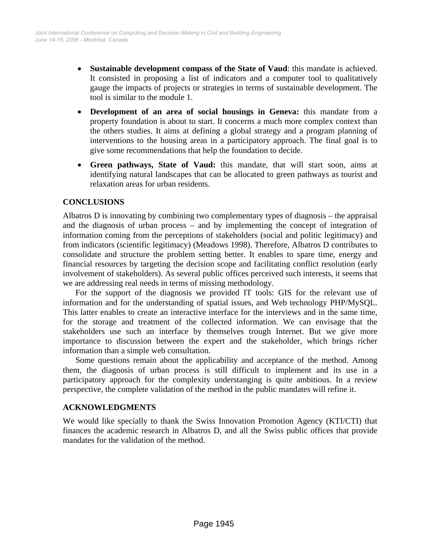- **Sustainable development compass of the State of Vaud**: this mandate is achieved. It consisted in proposing a list of indicators and a computer tool to qualitatively gauge the impacts of projects or strategies in terms of sustainable development. The tool is similar to the module 1.
- **Development of an area of social housings in Geneva:** this mandate from a property foundation is about to start. It concerns a much more complex context than the others studies. It aims at defining a global strategy and a program planning of interventions to the housing areas in a participatory approach. The final goal is to give some recommendations that help the foundation to decide.
- **Green pathways, State of Vaud:** this mandate, that will start soon, aims at identifying natural landscapes that can be allocated to green pathways as tourist and relaxation areas for urban residents.

# **CONCLUSIONS**

Albatros D is innovating by combining two complementary types of diagnosis – the appraisal and the diagnosis of urban process – and by implementing the concept of integration of information coming from the perceptions of stakeholders (social and politic legitimacy) and from indicators (scientific legitimacy) (Meadows 1998). Therefore, Albatros D contributes to consolidate and structure the problem setting better. It enables to spare time, energy and financial resources by targeting the decision scope and facilitating conflict resolution (early involvement of stakeholders). As several public offices perceived such interests, it seems that we are addressing real needs in terms of missing methodology.

For the support of the diagnosis we provided IT tools: GIS for the relevant use of information and for the understanding of spatial issues, and Web technology PHP/MySQL. This latter enables to create an interactive interface for the interviews and in the same time, for the storage and treatment of the collected information. We can envisage that the stakeholders use such an interface by themselves trough Internet. But we give more importance to discussion between the expert and the stakeholder, which brings richer information than a simple web consultation.

Some questions remain about the applicability and acceptance of the method. Among them, the diagnosis of urban process is still difficult to implement and its use in a participatory approach for the complexity understanging is quite ambitious. In a review perspective, the complete validation of the method in the public mandates will refine it.

## **ACKNOWLEDGMENTS**

We would like specially to thank the Swiss Innovation Promotion Agency (KTI/CTI) that finances the academic research in Albatros D, and all the Swiss public offices that provide mandates for the validation of the method.